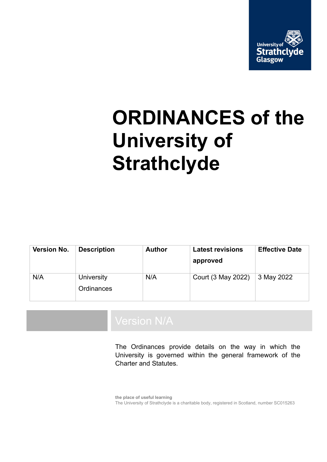

# **ORDINANCES of the University of Strathclyde**

| Version No. | <b>Description</b>       | <b>Author</b> | <b>Latest revisions</b><br>approved | <b>Effective Date</b> |
|-------------|--------------------------|---------------|-------------------------------------|-----------------------|
| N/A         | University<br>Ordinances | N/A           | Court (3 May 2022)                  | 3 May 2022            |

The Ordinances provide details on the way in which the University is governed within the general framework of the Charter and Statutes.

**the place of useful learning** The University of Strathclyde is a charitable body, registered in Scotland, number SC015263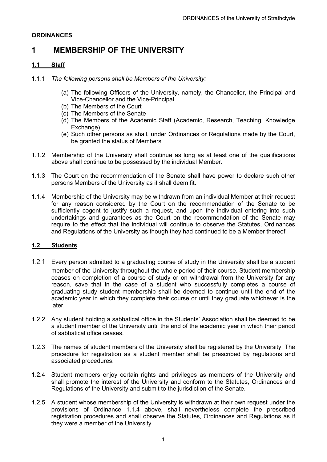#### **ORDINANCES**

# **1 MEMBERSHIP OF THE UNIVERSITY**

#### **1.1 Staff**

- 1.1.1 *The following persons shall be Members of the University:*
	- (a) The following Officers of the University, namely, the Chancellor, the Principal and Vice-Chancellor and the Vice-Principal
	- (b) The Members of the Court
	- (c) The Members of the Senate
	- (d) The Members of the Academic Staff (Academic, Research, Teaching, Knowledge Exchange)
	- (e) Such other persons as shall, under Ordinances or Regulations made by the Court, be granted the status of Members
- 1.1.2 Membership of the University shall continue as long as at least one of the qualifications above shall continue to be possessed by the individual Member.
- 1.1.3 The Court on the recommendation of the Senate shall have power to declare such other persons Members of the University as it shall deem fit.
- 1.1.4 Membership of the University may be withdrawn from an individual Member at their request for any reason considered by the Court on the recommendation of the Senate to be sufficiently cogent to justify such a request, and upon the individual entering into such undertakings and guarantees as the Court on the recommendation of the Senate may require to the effect that the individual will continue to observe the Statutes, Ordinances and Regulations of the University as though they had continued to be a Member thereof.

#### **1.2 Students**

- 1.2.1 Every person admitted to a graduating course of study in the University shall be a student member of the University throughout the whole period of their course. Student membership ceases on completion of a course of study or on withdrawal from the University for any reason, save that in the case of a student who successfully completes a course of graduating study student membership shall be deemed to continue until the end of the academic year in which they complete their course or until they graduate whichever is the later.
- 1.2.2 Any student holding a sabbatical office in the Students' Association shall be deemed to be a student member of the University until the end of the academic year in which their period of sabbatical office ceases.
- 1.2.3 The names of student members of the University shall be registered by the University. The procedure for registration as a student member shall be prescribed by regulations and associated procedures.
- 1.2.4 Student members enjoy certain rights and privileges as members of the University and shall promote the interest of the University and conform to the Statutes, Ordinances and Regulations of the University and submit to the jurisdiction of the Senate.
- 1.2.5 A student whose membership of the University is withdrawn at their own request under the provisions of Ordinance 1.1.4 above, shall nevertheless complete the prescribed registration procedures and shall observe the Statutes, Ordinances and Regulations as if they were a member of the University.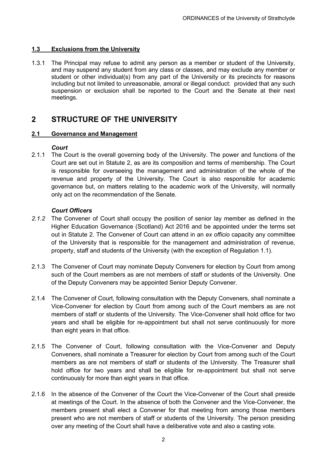### **1.3 Exclusions from the University**

1.3.1 The Principal may refuse to admit any person as a member or student of the University, and may suspend any student from any class or classes, and may exclude any member or student or other individual(s) from any part of the University or its precincts for reasons including but not limited to unreasonable, amoral or illegal conduct: provided that any such suspension or exclusion shall be reported to the Court and the Senate at their next meetings.

## **2 STRUCTURE OF THE UNIVERSITY**

#### **2.1 Governance and Management**

#### *Court*

2.1.1 The Court is the overall governing body of the University. The power and functions of the Court are set out in Statute 2, as are its composition and terms of membership. The Court is responsible for overseeing the management and administration of the whole of the revenue and property of the University. The Court is also responsible for academic governance but, on matters relating to the academic work of the University, will normally only act on the recommendation of the Senate.

#### *Court Officers*

- *2.1.2* The Convener of Court shall occupy the position of senior lay member as defined in the Higher Education Governance (Scotland) Act 2016 and be appointed under the terms set out in Statute 2. The Convener of Court can attend in an *ex officio* capacity any committee of the University that is responsible for the management and administration of revenue, property, staff and students of the University (with the exception of Regulation 1.1).
- 2.1.3 The Convener of Court may nominate Deputy Conveners for election by Court from among such of the Court members as are not members of staff or students of the University. One of the Deputy Conveners may be appointed Senior Deputy Convener.
- 2.1.4 The Convener of Court, following consultation with the Deputy Conveners, shall nominate a Vice-Convener for election by Court from among such of the Court members as are not members of staff or students of the University. The Vice-Convener shall hold office for two years and shall be eligible for re-appointment but shall not serve continuously for more than eight years in that office.
- 2.1.5 The Convener of Court, following consultation with the Vice-Convener and Deputy Conveners, shall nominate a Treasurer for election by Court from among such of the Court members as are not members of staff or students of the University. The Treasurer shall hold office for two years and shall be eligible for re-appointment but shall not serve continuously for more than eight years in that office.
- 2.1.6 In the absence of the Convener of the Court the Vice-Convener of the Court shall preside at meetings of the Court. In the absence of both the Convener and the Vice-Convener, the members present shall elect a Convener for that meeting from among those members present who are not members of staff or students of the University. The person presiding over any meeting of the Court shall have a deliberative vote and also a casting vote.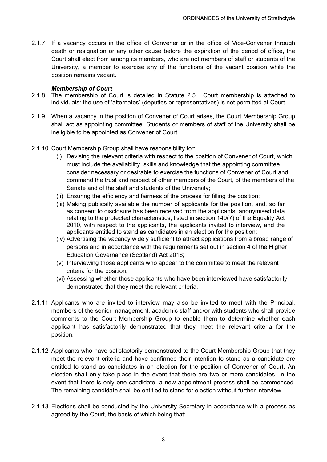2.1.7 If a vacancy occurs in the office of Convener or in the office of Vice-Convener through death or resignation or any other cause before the expiration of the period of office, the Court shall elect from among its members, who are not members of staff or students of the University, a member to exercise any of the functions of the vacant position while the position remains vacant.

#### *Membership of Court*

- 2.1.8 The membership of Court is detailed in Statute 2.5. Court membership is attached to individuals: the use of 'alternates' (deputies or representatives) is not permitted at Court.
- 2.1.9 When a vacancy in the position of Convener of Court arises, the Court Membership Group shall act as appointing committee. Students or members of staff of the University shall be ineligible to be appointed as Convener of Court.
- 2.1.10 Court Membership Group shall have responsibility for:
	- (i) Devising the relevant criteria with respect to the position of Convener of Court, which must include the availability, skills and knowledge that the appointing committee consider necessary or desirable to exercise the functions of Convener of Court and command the trust and respect of other members of the Court, of the members of the Senate and of the staff and students of the University;
	- (ii) Ensuring the efficiency and fairness of the process for filling the position;
	- (iii) Making publically available the number of applicants for the position, and, so far as consent to disclosure has been received from the applicants, anonymised data relating to the protected characteristics, listed in section 149(7) of the Equality Act 2010, with respect to the applicants, the applicants invited to interview, and the applicants entitled to stand as candidates in an election for the position;
	- (iv) Advertising the vacancy widely sufficient to attract applications from a broad range of persons and in accordance with the requirements set out in section 4 of the Higher Education Governance (Scotland) Act 2016;
	- (v) Interviewing those applicants who appear to the committee to meet the relevant criteria for the position;
	- (vi) Assessing whether those applicants who have been interviewed have satisfactorily demonstrated that they meet the relevant criteria.
- 2.1.11 Applicants who are invited to interview may also be invited to meet with the Principal, members of the senior management, academic staff and/or with students who shall provide comments to the Court Membership Group to enable them to determine whether each applicant has satisfactorily demonstrated that they meet the relevant criteria for the position.
- 2.1.12 Applicants who have satisfactorily demonstrated to the Court Membership Group that they meet the relevant criteria and have confirmed their intention to stand as a candidate are entitled to stand as candidates in an election for the position of Convener of Court. An election shall only take place in the event that there are two or more candidates. In the event that there is only one candidate, a new appointment process shall be commenced. The remaining candidate shall be entitled to stand for election without further interview.
- 2.1.13 Elections shall be conducted by the University Secretary in accordance with a process as agreed by the Court, the basis of which being that: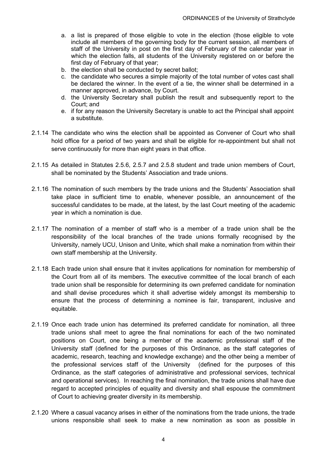- a. a list is prepared of those eligible to vote in the election (those eligible to vote include all members of the governing body for the current session, all members of staff of the University in post on the first day of February of the calendar year in which the election falls, all students of the University registered on or before the first day of February of that year;
- b. the election shall be conducted by secret ballot;
- c. the candidate who secures a simple majority of the total number of votes cast shall be declared the winner. In the event of a tie, the winner shall be determined in a manner approved, in advance, by Court.
- d. the University Secretary shall publish the result and subsequently report to the Court; and
- e. if for any reason the University Secretary is unable to act the Principal shall appoint a substitute.
- 2.1.14 The candidate who wins the election shall be appointed as Convener of Court who shall hold office for a period of two years and shall be eligible for re-appointment but shall not serve continuously for more than eight years in that office.
- 2.1.15 As detailed in Statutes 2.5.6, 2.5.7 and 2.5.8 student and trade union members of Court, shall be nominated by the Students' Association and trade unions.
- 2.1.16 The nomination of such members by the trade unions and the Students' Association shall take place in sufficient time to enable, whenever possible, an announcement of the successful candidates to be made, at the latest, by the last Court meeting of the academic year in which a nomination is due.
- 2.1.17 The nomination of a member of staff who is a member of a trade union shall be the responsibility of the local branches of the trade unions formally recognised by the University, namely UCU, Unison and Unite, which shall make a nomination from within their own staff membership at the University.
- 2.1.18 Each trade union shall ensure that it invites applications for nomination for membership of the Court from all of its members. The executive committee of the local branch of each trade union shall be responsible for determining its own preferred candidate for nomination and shall devise procedures which it shall advertise widely amongst its membership to ensure that the process of determining a nominee is fair, transparent, inclusive and equitable.
- 2.1.19 Once each trade union has determined its preferred candidate for nomination, all three trade unions shall meet to agree the final nominations for each of the two nominated positions on Court, one being a member of the academic professional staff of the University staff (defined for the purposes of this Ordinance, as the staff categories of academic, research, teaching and knowledge exchange) and the other being a member of the professional services staff of the University (defined for the purposes of this Ordinance, as the staff categories of administrative and professional services, technical and operational services). In reaching the final nomination, the trade unions shall have due regard to accepted principles of equality and diversity and shall espouse the commitment of Court to achieving greater diversity in its membership.
- 2.1.20 Where a casual vacancy arises in either of the nominations from the trade unions, the trade unions responsible shall seek to make a new nomination as soon as possible in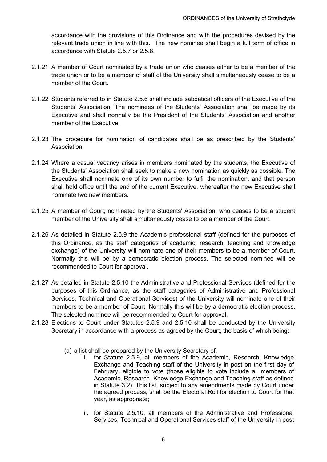accordance with the provisions of this Ordinance and with the procedures devised by the relevant trade union in line with this. The new nominee shall begin a full term of office in accordance with Statute 2.5.7 or 2.5.8.

- 2.1.21 A member of Court nominated by a trade union who ceases either to be a member of the trade union or to be a member of staff of the University shall simultaneously cease to be a member of the Court.
- 2.1.22 Students referred to in Statute 2.5.6 shall include sabbatical officers of the Executive of the Students' Association. The nominees of the Students' Association shall be made by its Executive and shall normally be the President of the Students' Association and another member of the Executive.
- 2.1.23 The procedure for nomination of candidates shall be as prescribed by the Students' **Association**
- 2.1.24 Where a casual vacancy arises in members nominated by the students, the Executive of the Students' Association shall seek to make a new nomination as quickly as possible. The Executive shall nominate one of its own number to fulfil the nomination, and that person shall hold office until the end of the current Executive, whereafter the new Executive shall nominate two new members.
- 2.1.25 A member of Court, nominated by the Students' Association, who ceases to be a student member of the University shall simultaneously cease to be a member of the Court.
- 2.1.26 As detailed in Statute 2.5.9 the Academic professional staff (defined for the purposes of this Ordinance, as the staff categories of academic, research, teaching and knowledge exchange) of the University will nominate one of their members to be a member of Court. Normally this will be by a democratic election process. The selected nominee will be recommended to Court for approval.
- 2.1.27 As detailed in Statute 2.5.10 the Administrative and Professional Services (defined for the purposes of this Ordinance, as the staff categories of Administrative and Professional Services, Technical and Operational Services) of the University will nominate one of their members to be a member of Court. Normally this will be by a democratic election process. The selected nominee will be recommended to Court for approval.
- 2.1.28 Elections to Court under Statutes 2.5.9 and 2.5.10 shall be conducted by the University Secretary in accordance with a process as agreed by the Court, the basis of which being:
	- (a) a list shall be prepared by the University Secretary of:
		- i. for Statute 2.5.9, all members of the Academic, Research, Knowledge Exchange and Teaching staff of the University in post on the first day of February, eligible to vote (those eligible to vote include all members of Academic, Research, Knowledge Exchange and Teaching staff as defined in Statute 3.2). This list, subject to any amendments made by Court under the agreed process, shall be the Electoral Roll for election to Court for that year, as appropriate;
		- ii. for Statute 2.5.10, all members of the Administrative and Professional Services, Technical and Operational Services staff of the University in post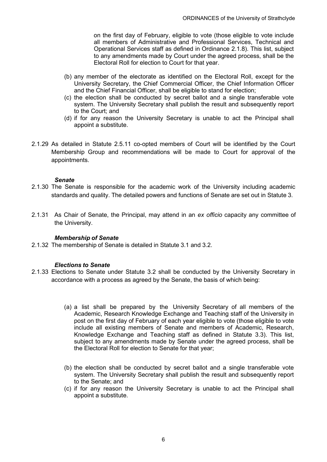on the first day of February, eligible to vote (those eligible to vote include all members of Administrative and Professional Services, Technical and Operational Services staff as defined in Ordinance 2.1.8). This list, subject to any amendments made by Court under the agreed process, shall be the Electoral Roll for election to Court for that year.

- (b) any member of the electorate as identified on the Electoral Roll, except for the University Secretary, the Chief Commercial Officer, the Chief Information Officer and the Chief Financial Officer, shall be eligible to stand for election;
- (c) the election shall be conducted by secret ballot and a single transferable vote system. The University Secretary shall publish the result and subsequently report to the Court; and
- (d) if for any reason the University Secretary is unable to act the Principal shall appoint a substitute.
- 2.1.29 As detailed in Statute 2.5.11 co-opted members of Court will be identified by the Court Membership Group and recommendations will be made to Court for approval of the appointments.

#### *Senate*

- 2.1.30 The Senate is responsible for the academic work of the University including academic standards and quality. The detailed powers and functions of Senate are set out in Statute 3.
- 2.1.31 As Chair of Senate, the Principal, may attend in an *ex officio* capacity any committee of the University.

#### *Membership of Senate*

2.1.32 The membership of Senate is detailed in Statute 3.1 and 3.2.

#### *Elections to Senate*

- 2.1.33 Elections to Senate under Statute 3.2 shall be conducted by the University Secretary in accordance with a process as agreed by the Senate, the basis of which being:
	- (a) a list shall be prepared by the University Secretary of all members of the Academic, Research Knowledge Exchange and Teaching staff of the University in post on the first day of February of each year eligible to vote (those eligible to vote include all existing members of Senate and members of Academic, Research, Knowledge Exchange and Teaching staff as defined in Statute 3.3). This list, subject to any amendments made by Senate under the agreed process, shall be the Electoral Roll for election to Senate for that year;
	- (b) the election shall be conducted by secret ballot and a single transferable vote system. The University Secretary shall publish the result and subsequently report to the Senate; and
	- (c) if for any reason the University Secretary is unable to act the Principal shall appoint a substitute.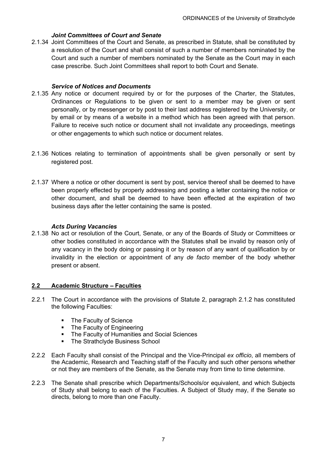#### *Joint Committees of Court and Senate*

2.1.34 Joint Committees of the Court and Senate, as prescribed in Statute, shall be constituted by a resolution of the Court and shall consist of such a number of members nominated by the Court and such a number of members nominated by the Senate as the Court may in each case prescribe. Such Joint Committees shall report to both Court and Senate.

#### *Service of Notices and Documents*

- 2.1.35 Any notice or document required by or for the purposes of the Charter, the Statutes, Ordinances or Regulations to be given or sent to a member may be given or sent personally, or by messenger or by post to their last address registered by the University, or by email or by means of a website in a method which has been agreed with that person. Failure to receive such notice or document shall not invalidate any proceedings, meetings or other engagements to which such notice or document relates.
- 2.1.36 Notices relating to termination of appointments shall be given personally or sent by registered post.
- 2.1.37 Where a notice or other document is sent by post, service thereof shall be deemed to have been properly effected by properly addressing and posting a letter containing the notice or other document, and shall be deemed to have been effected at the expiration of two business days after the letter containing the same is posted.

#### *Acts During Vacancies*

2.1.38 No act or resolution of the Court, Senate, or any of the Boards of Study or Committees or other bodies constituted in accordance with the Statutes shall be invalid by reason only of any vacancy in the body doing or passing it or by reason of any want of qualification by or invalidity in the election or appointment of any *de facto* member of the body whether present or absent.

## **2.2 Academic Structure – Faculties**

- 2.2.1 The Court in accordance with the provisions of Statute 2, paragraph 2.1.2 has constituted the following Faculties:
	- The Faculty of Science
	- The Faculty of Engineering
	- The Faculty of Humanities and Social Sciences
	- The Strathclyde Business School
- 2.2.2 Each Faculty shall consist of the Principal and the Vice-Principal *ex officio*, all members of the Academic, Research and Teaching staff of the Faculty and such other persons whether or not they are members of the Senate, as the Senate may from time to time determine.
- 2.2.3 The Senate shall prescribe which Departments/Schools/or equivalent, and which Subjects of Study shall belong to each of the Faculties. A Subject of Study may, if the Senate so directs, belong to more than one Faculty.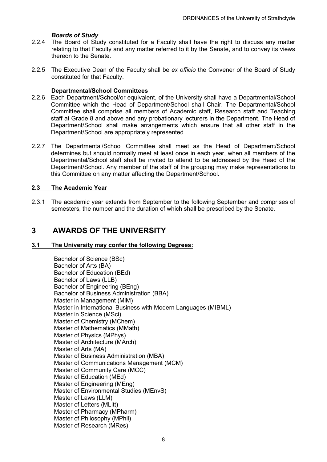- **Boards of Study**<br>224 The Board of Stu The Board of Study constituted for a Faculty shall have the right to discuss any matter relating to that Faculty and any matter referred to it by the Senate, and to convey its views thereon to the Senate.
- 2.2.5 The Executive Dean of the Faculty shall be *ex officio* the Convener of the Board of Study constituted for that Faculty.

#### **Departmental/School Committees**

- 2.2.6 Each Department/School/or equivalent, of the University shall have a Departmental/School Committee which the Head of Department/School shall Chair. The Departmental/School Committee shall comprise all members of Academic staff, Research staff and Teaching staff at Grade 8 and above and any probationary lecturers in the Department. The Head of Department/School shall make arrangements which ensure that all other staff in the Department/School are appropriately represented.
- 2.2.7 The Departmental/School Committee shall meet as the Head of Department/School determines but should normally meet at least once in each year, when all members of the Departmental/School staff shall be invited to attend to be addressed by the Head of the Department/School. Any member of the staff of the grouping may make representations to this Committee on any matter affecting the Department/School.

### **2.3 The Academic Year**

2.3.1 The academic year extends from September to the following September and comprises of semesters, the number and the duration of which shall be prescribed by the Senate.

# **3 AWARDS OF THE UNIVERSITY**

#### **3.1 The University may confer the following Degrees:**

Bachelor of Science (BSc) Bachelor of Arts (BA) Bachelor of Education (BEd) Bachelor of Laws (LLB) Bachelor of Engineering (BEng) Bachelor of Business Administration (BBA) Master in Management (MiM) Master in International Business with Modern Languages (MIBML) Master in Science (MSci) Master of Chemistry (MChem) Master of Mathematics (MMath) Master of Physics (MPhys) Master of Architecture (MArch) Master of Arts (MA) Master of Business Administration (MBA) Master of Communications Management (MCM) Master of Community Care (MCC) Master of Education (MEd) Master of Engineering (MEng) Master of Environmental Studies (MEnvS) Master of Laws (LLM) Master of Letters (MLitt) Master of Pharmacy (MPharm) Master of Philosophy (MPhil) Master of Research (MRes)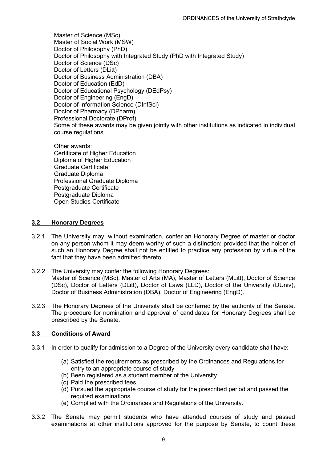Master of Science (MSc) Master of Social Work (MSW) Doctor of Philosophy (PhD) Doctor of Philosophy with Integrated Study (PhD with Integrated Study) Doctor of Science (DSc) Doctor of Letters (DLitt) Doctor of Business Administration (DBA) Doctor of Education (EdD) Doctor of Educational Psychology (DEdPsy) Doctor of Engineering (EngD) Doctor of Information Science (DInfSci) Doctor of Pharmacy (DPharm) Professional Doctorate (DProf) Some of these awards may be given jointly with other institutions as indicated in individual course regulations.

Other awards: Certificate of Higher Education Diploma of Higher Education Graduate Certificate Graduate Diploma Professional Graduate Diploma Postgraduate Certificate Postgraduate Diploma Open Studies Certificate

#### **3.2 Honorary Degrees**

- 3.2.1 The University may, without examination, confer an Honorary Degree of master or doctor on any person whom it may deem worthy of such a distinction: provided that the holder of such an Honorary Degree shall not be entitled to practice any profession by virtue of the fact that they have been admitted thereto.
- 3.2.2 The University may confer the following Honorary Degrees: Master of Science (MSc), Master of Arts (MA), Master of Letters (MLitt), Doctor of Science (DSc), Doctor of Letters (DLitt), Doctor of Laws (LLD), Doctor of the University (DUniv), Doctor of Business Administration (DBA), Doctor of Engineering (EngD).
- 3.2.3 The Honorary Degrees of the University shall be conferred by the authority of the Senate. The procedure for nomination and approval of candidates for Honorary Degrees shall be prescribed by the Senate.

## **3.3 Conditions of Award**

- 3.3.1 In order to qualify for admission to a Degree of the University every candidate shall have:
	- (a) Satisfied the requirements as prescribed by the Ordinances and Regulations for entry to an appropriate course of study
	- (b) Been registered as a student member of the University
	- (c) Paid the prescribed fees
	- (d) Pursued the appropriate course of study for the prescribed period and passed the required examinations
	- (e) Complied with the Ordinances and Regulations of the University.
- 3.3.2 The Senate may permit students who have attended courses of study and passed examinations at other institutions approved for the purpose by Senate, to count these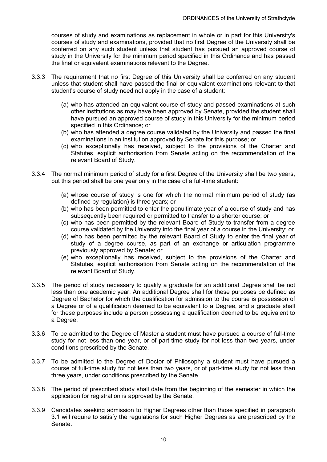courses of study and examinations as replacement in whole or in part for this University's courses of study and examinations, provided that no first Degree of the University shall be conferred on any such student unless that student has pursued an approved course of study in the University for the minimum period specified in this Ordinance and has passed the final or equivalent examinations relevant to the Degree.

- 3.3.3 The requirement that no first Degree of this University shall be conferred on any student unless that student shall have passed the final or equivalent examinations relevant to that student's course of study need not apply in the case of a student:
	- (a) who has attended an equivalent course of study and passed examinations at such other institutions as may have been approved by Senate, provided the student shall have pursued an approved course of study in this University for the minimum period specified in this Ordinance; or
	- (b) who has attended a degree course validated by the University and passed the final examinations in an institution approved by Senate for this purpose; or
	- (c) who exceptionally has received, subject to the provisions of the Charter and Statutes, explicit authorisation from Senate acting on the recommendation of the relevant Board of Study.
- 3.3.4 The normal minimum period of study for a first Degree of the University shall be two years, but this period shall be one year only in the case of a full-time student:
	- (a) whose course of study is one for which the normal minimum period of study (as defined by regulation) is three years; or
	- (b) who has been permitted to enter the penultimate year of a course of study and has subsequently been required or permitted to transfer to a shorter course; or
	- (c) who has been permitted by the relevant Board of Study to transfer from a degree course validated by the University into the final year of a course in the University; or
	- (d) who has been permitted by the relevant Board of Study to enter the final year of study of a degree course, as part of an exchange or articulation programme previously approved by Senate; or
	- (e) who exceptionally has received, subject to the provisions of the Charter and Statutes, explicit authorisation from Senate acting on the recommendation of the relevant Board of Study.
- 3.3.5 The period of study necessary to qualify a graduate for an additional Degree shall be not less than one academic year. An additional Degree shall for these purposes be defined as Degree of Bachelor for which the qualification for admission to the course is possession of a Degree or of a qualification deemed to be equivalent to a Degree, and a graduate shall for these purposes include a person possessing a qualification deemed to be equivalent to a Degree.
- 3.3.6 To be admitted to the Degree of Master a student must have pursued a course of full-time study for not less than one year, or of part-time study for not less than two years, under conditions prescribed by the Senate.
- 3.3.7 To be admitted to the Degree of Doctor of Philosophy a student must have pursued a course of full-time study for not less than two years, or of part-time study for not less than three years, under conditions prescribed by the Senate.
- 3.3.8 The period of prescribed study shall date from the beginning of the semester in which the application for registration is approved by the Senate.
- 3.3.9 Candidates seeking admission to Higher Degrees other than those specified in paragraph 3.1 will require to satisfy the regulations for such Higher Degrees as are prescribed by the Senate.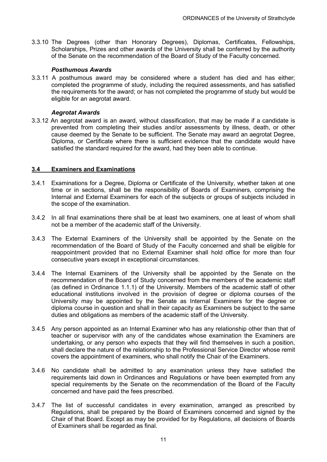3.3.10 The Degrees (other than Honorary Degrees), Diplomas, Certificates, Fellowships, Scholarships, Prizes and other awards of the University shall be conferred by the authority of the Senate on the recommendation of the Board of Study of the Faculty concerned.

#### *Posthumous Awards*

3.3.11 A posthumous award may be considered where a student has died and has either; completed the programme of study, including the required assessments, and has satisfied the requirements for the award; or has not completed the programme of study but would be eligible for an aegrotat award.

#### *Aegrotat Awards*

3.3.12 An aegrotat award is an award, without classification, that may be made if a candidate is prevented from completing their studies and/or assessments by illness, death, or other cause deemed by the Senate to be sufficient. The Senate may award an aegrotat Degree, Diploma, or Certificate where there is sufficient evidence that the candidate would have satisfied the standard required for the award, had they been able to continue.

#### **3.4 Examiners and Examinations**

- 3.4.1 Examinations for a Degree, Diploma or Certificate of the University, whether taken at one time or in sections, shall be the responsibility of Boards of Examiners, comprising the Internal and External Examiners for each of the subjects or groups of subjects included in the scope of the examination.
- 3.4.2 In all final examinations there shall be at least two examiners, one at least of whom shall not be a member of the academic staff of the University.
- 3.4.3 The External Examiners of the University shall be appointed by the Senate on the recommendation of the Board of Study of the Faculty concerned and shall be eligible for reappointment provided that no External Examiner shall hold office for more than four consecutive years except in exceptional circumstances.
- 3.4.4 The Internal Examiners of the University shall be appointed by the Senate on the recommendation of the Board of Study concerned from the members of the academic staff (as defined in Ordinance 1.1.1) of the University. Members of the academic staff of other educational institutions involved in the provision of degree or diploma courses of the University may be appointed by the Senate as Internal Examiners for the degree or diploma course in question and shall in their capacity as Examiners be subject to the same duties and obligations as members of the academic staff of the University.
- 3.4.5 Any person appointed as an Internal Examiner who has any relationship other than that of teacher or supervisor with any of the candidates whose examination the Examiners are undertaking, or any person who expects that they will find themselves in such a position, shall declare the nature of the relationship to the Professional Service Director whose remit covers the appointment of examiners, who shall notify the Chair of the Examiners.
- 3.4.6 No candidate shall be admitted to any examination unless they have satisfied the requirements laid down in Ordinances and Regulations or have been exempted from any special requirements by the Senate on the recommendation of the Board of the Faculty concerned and have paid the fees prescribed.
- 3.4.7 The list of successful candidates in every examination, arranged as prescribed by Regulations, shall be prepared by the Board of Examiners concerned and signed by the Chair of that Board. Except as may be provided for by Regulations, all decisions of Boards of Examiners shall be regarded as final.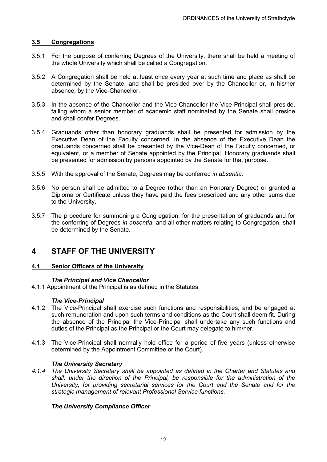#### **3.5 Congregations**

- 3.5.1 For the purpose of conferring Degrees of the University, there shall be held a meeting of the whole University which shall be called a Congregation.
- 3.5.2 A Congregation shall be held at least once every year at such time and place as shall be determined by the Senate, and shall be presided over by the Chancellor or, in his/her absence, by the Vice-Chancellor.
- 3.5.3 In the absence of the Chancellor and the Vice-Chancellor the Vice-Principal shall preside, failing whom a senior member of academic staff nominated by the Senate shall preside and shall confer Degrees.
- 3.5.4 Graduands other than honorary graduands shall be presented for admission by the Executive Dean of the Faculty concerned. In the absence of the Executive Dean the graduands concerned shall be presented by the Vice-Dean of the Faculty concerned, or equivalent, or a member of Senate appointed by the Principal. Honorary graduands shall be presented for admission by persons appointed by the Senate for that purpose.
- 3.5.5 With the approval of the Senate, Degrees may be conferred *in absentia.*
- 3.5.6 No person shall be admitted to a Degree (other than an Honorary Degree) or granted a Diploma or Certificate unless they have paid the fees prescribed and any other sums due to the University.
- 3.5.7 The procedure for summoning a Congregation, for the presentation of graduands and for the conferring of Degrees *in absentia*, and all other matters relating to Congregation, shall be determined by the Senate.

# **4 STAFF OF THE UNIVERSITY**

#### **4.1 Senior Officers of the University**

#### *The Principal and Vice Chancellor*

4.1.1 Appointment of the Principal is as defined in the Statutes.

#### *The Vice-Principal*

- 4.1.2 The Vice-Principal shall exercise such functions and responsibilities, and be engaged at such remuneration and upon such terms and conditions as the Court shall deem fit. During the absence of the Principal the Vice-Principal shall undertake any such functions and duties of the Principal as the Principal or the Court may delegate to him/her.
- 4.1.3 The Vice-Principal shall normally hold office for a period of five years (unless otherwise determined by the Appointment Committee or the Court).

#### *The University Secretary*

*4.1.4 The University Secretary shall be appointed as defined in the Charter and Statutes and shall, under the direction of the Principal, be responsible for the administration of the University, for providing secretarial services for the Court and the Senate and for the strategic management of relevant Professional Service functions.*

#### *The University Compliance Officer*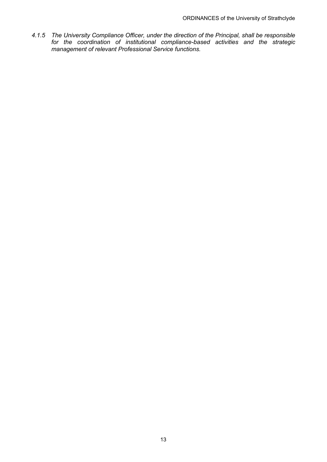*4.1.5 The University Compliance Officer, under the direction of the Principal, shall be responsible for the coordination of institutional compliance-based activities and the strategic management of relevant Professional Service functions.*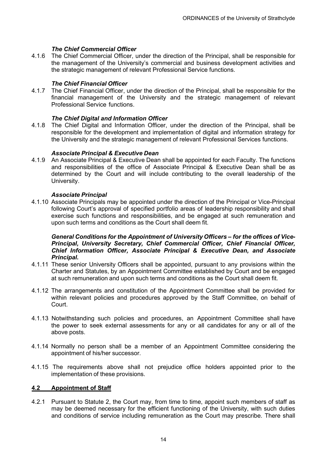#### *The Chief Commercial Officer*

4.1.6 The Chief Commercial Officer, under the direction of the Principal, shall be responsible for the management of the University's commercial and business development activities and the strategic management of relevant Professional Service functions.

#### *The Chief Financial Officer*

4.1.7 The Chief Financial Officer, under the direction of the Principal, shall be responsible for the financial management of the University and the strategic management of relevant Professional Service functions.

#### *The Chief Digital and Information Officer*

4.1.8 The Chief Digital and Information Officer, under the direction of the Principal, shall be responsible for the development and implementation of digital and information strategy for the University and the strategic management of relevant Professional Services functions.

#### *Associate Principal & Executive Dean*

4.1.9 An Associate Principal & Executive Dean shall be appointed for each Faculty. The functions and responsibilities of the office of Associate Principal & Executive Dean shall be as determined by the Court and will include contributing to the overall leadership of the University.

#### *Associate Principal*

4.1.10 Associate Principals may be appointed under the direction of the Principal or Vice-Principal following Court's approval of specified portfolio areas of leadership responsibility and shall exercise such functions and responsibilities, and be engaged at such remuneration and upon such terms and conditions as the Court shall deem fit.

#### *General Conditions for the Appointment of University Officers – for the offices of Vice-Principal, University Secretary, Chief Commercial Officer, Chief Financial Officer, Chief Information Officer, Associate Principal & Executive Dean, and Associate Principal.*

- 4.1.11 These senior University Officers shall be appointed, pursuant to any provisions within the Charter and Statutes, by an Appointment Committee established by Court and be engaged at such remuneration and upon such terms and conditions as the Court shall deem fit.
- 4.1.12 The arrangements and constitution of the Appointment Committee shall be provided for within relevant policies and procedures approved by the Staff Committee, on behalf of Court.
- 4.1.13 Notwithstanding such policies and procedures, an Appointment Committee shall have the power to seek external assessments for any or all candidates for any or all of the above posts.
- 4.1.14 Normally no person shall be a member of an Appointment Committee considering the appointment of his/her successor.
- 4.1.15 The requirements above shall not prejudice office holders appointed prior to the implementation of these provisions.

#### **4.2 Appointment of Staff**

4.2.1 Pursuant to Statute 2, the Court may, from time to time, appoint such members of staff as may be deemed necessary for the efficient functioning of the University, with such duties and conditions of service including remuneration as the Court may prescribe. There shall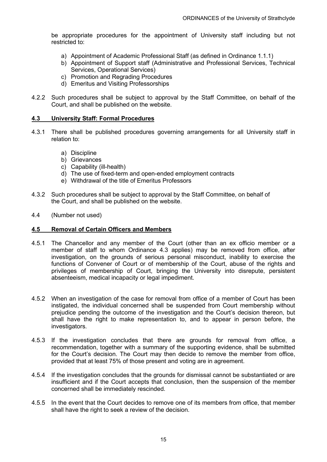be appropriate procedures for the appointment of University staff including but not restricted to:

- a) Appointment of Academic Professional Staff (as defined in Ordinance 1.1.1)
- b) Appointment of Support staff (Administrative and Professional Services, Technical Services, Operational Services)
- c) Promotion and Regrading Procedures
- d) Emeritus and Visiting Professorships
- 4.2.2 Such procedures shall be subject to approval by the Staff Committee, on behalf of the Court, and shall be published on the website.

#### **4.3 University Staff: Formal Procedures**

- 4.3.1 There shall be published procedures governing arrangements for all University staff in relation to:
	- a) Discipline
	- b) Grievances
	- c) Capability (ill-health)
	- d) The use of fixed-term and open-ended employment contracts
	- e) Withdrawal of the title of Emeritus Professors
- 4.3.2 Such procedures shall be subject to approval by the Staff Committee, on behalf of the Court, and shall be published on the website.
- 4.4 (Number not used)

#### **4.5 Removal of Certain Officers and Members**

- 4.5.1 The Chancellor and any member of the Court (other than an ex officio member or a member of staff to whom Ordinance 4.3 applies) may be removed from office, after investigation, on the grounds of serious personal misconduct, inability to exercise the functions of Convener of Court or of membership of the Court, abuse of the rights and privileges of membership of Court, bringing the University into disrepute, persistent absenteeism, medical incapacity or legal impediment.
- 4.5.2 When an investigation of the case for removal from office of a member of Court has been instigated, the individual concerned shall be suspended from Court membership without prejudice pending the outcome of the investigation and the Court's decision thereon, but shall have the right to make representation to, and to appear in person before, the investigators.
- 4.5.3 If the investigation concludes that there are grounds for removal from office, a recommendation, together with a summary of the supporting evidence, shall be submitted for the Court's decision. The Court may then decide to remove the member from office, provided that at least 75% of those present and voting are in agreement.
- 4.5.4 If the investigation concludes that the grounds for dismissal cannot be substantiated or are insufficient and if the Court accepts that conclusion, then the suspension of the member concerned shall be immediately rescinded.
- 4.5.5 In the event that the Court decides to remove one of its members from office, that member shall have the right to seek a review of the decision.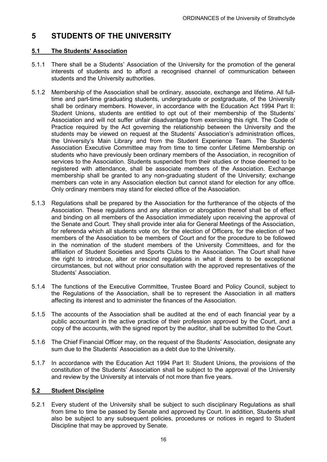# **5 STUDENTS OF THE UNIVERSITY**

## **5.1 The Students' Association**

- 5.1.1 There shall be a Students' Association of the University for the promotion of the general interests of students and to afford a recognised channel of communication between students and the University authorities.
- 5.1.2 Membership of the Association shall be ordinary, associate, exchange and lifetime. All fulltime and part-time graduating students, undergraduate or postgraduate, of the University shall be ordinary members. However, in accordance with the Education Act 1994 Part II: Student Unions, students are entitled to opt out of their membership of the Students' Association and will not suffer unfair disadvantage from exercising this right. The Code of Practice required by the Act governing the relationship between the University and the students may be viewed on request at the Students' Association's administration offices, the University's Main Library and from the Student Experience Team. The Students' Association Executive Committee may from time to time confer Lifetime Membership on students who have previously been ordinary members of the Association, in recognition of services to the Association. Students suspended from their studies or those deemed to be registered with attendance, shall be associate members of the Association. Exchange membership shall be granted to any non-graduating student of the University; exchange members can vote in any Association election but cannot stand for election for any office. Only ordinary members may stand for elected office of the Association.
- 5.1.3 Regulations shall be prepared by the Association for the furtherance of the objects of the Association. These regulations and any alteration or abrogation thereof shall be of effect and binding on all members of the Association immediately upon receiving the approval of the Senate and Court. They shall provide inter alia for General Meetings of the Association, for referenda which all students vote on, for the election of Officers, for the election of two members of the Association to be members of Court and for the procedure to be followed in the nomination of the student members of the University Committees, and for the affiliation of Student Societies and Sports Clubs to the Association. The Court shall have the right to introduce, alter or rescind regulations in what it deems to be exceptional circumstances, but not without prior consultation with the approved representatives of the Students' Association.
- 5.1.4 The functions of the Executive Committee, Trustee Board and Policy Council, subject to the Regulations of the Association, shall be to represent the Association in all matters affecting its interest and to administer the finances of the Association.
- 5.1.5 The accounts of the Association shall be audited at the end of each financial year by a public accountant in the active practice of their profession approved by the Court, and a copy of the accounts, with the signed report by the auditor, shall be submitted to the Court.
- 5.1.6 The Chief Financial Officer may, on the request of the Students' Association, designate any sum due to the Students' Association as a debt due to the University.
- 5.1.7 In accordance with the Education Act 1994 Part II: Student Unions, the provisions of the constitution of the Students' Association shall be subject to the approval of the University and review by the University at intervals of not more than five years.

## **5.2 Student Discipline**

5.2.1 Every student of the University shall be subject to such disciplinary Regulations as shall from time to time be passed by Senate and approved by Court. In addition, Students shall also be subject to any subsequent policies, procedures or notices in regard to Student Discipline that may be approved by Senate.